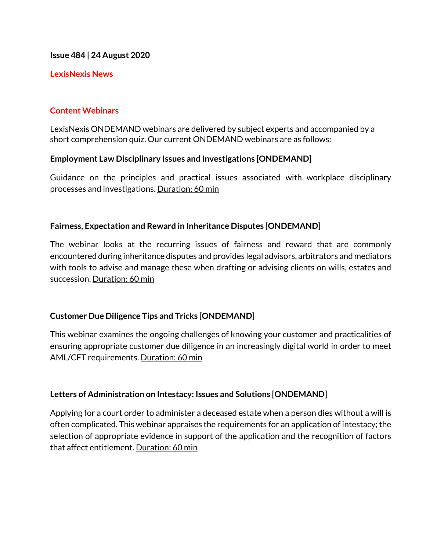**Issue 484 | 24 August 2020**

### **LexisNexis News**

# **Content Webinars**

LexisNexis ONDEMAND webinars are delivered by subject experts and accompanied by a short comprehension quiz. Our current ONDEMAND webinars are as follows:

# **Employment Law Disciplinary Issues and Investigations [ONDEMAND]**

Guidance on the principles and practical issues associated with workplace disciplinary processes and investigations. Duration: 60 min

# **Fairness, Expectation and Reward in Inheritance Disputes [ONDEMAND]**

The webinar looks at the recurring issues of fairness and reward that are commonly encountered during inheritance disputes and provides legal advisors, arbitrators and mediators with tools to advise and manage these when drafting or advising clients on wills, estates and succession. Duration: 60 min

# **Customer Due Diligence Tips and Tricks [ONDEMAND]**

This webinar examines the ongoing challenges of knowing your customer and practicalities of ensuring appropriate customer due diligence in an increasingly digital world in order to meet AML/CFT requirements. Duration: 60 min

# **Letters of Administration on Intestacy: Issues and Solutions [ONDEMAND]**

Applying for a court order to administer a deceased estate when a person dies without a will is often complicated. This webinar appraises the requirements for an application of intestacy; the selection of appropriate evidence in support of the application and the recognition of factors that affect entitlement. Duration: 60 min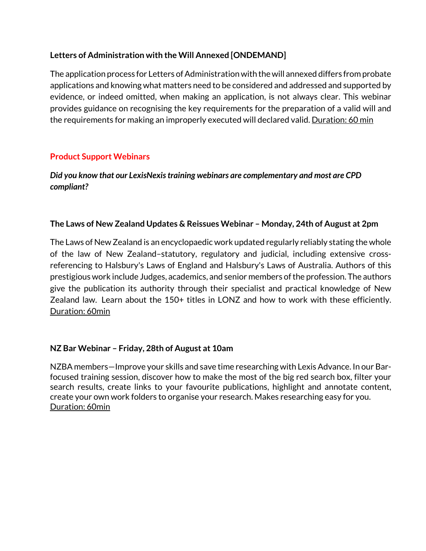# **Letters of Administration with the Will Annexed [ONDEMAND]**

The application process for Letters of Administration with the will annexed differs from probate applications and knowing what matters need to be considered and addressed and supported by evidence, or indeed omitted, when making an application, is not always clear. This webinar provides guidance on recognising the key requirements for the preparation of a valid will and the requirements for making an improperly executed will declared valid. Duration: 60 min

# **Product Support Webinars**

# *Did you know that our LexisNexis training webinars are complementary and most are CPD compliant?*

# **The Laws of New Zealand Updates & Reissues Webinar – Monday, 24th of August at 2pm**

The Laws of New Zealand is an encyclopaedic work updated regularly reliably stating the whole of the law of New Zealand–statutory, regulatory and judicial, including extensive crossreferencing to Halsbury's Laws of England and Halsbury's Laws of Australia. Authors of this prestigious work include Judges, academics, and senior members of the profession. The authors give the publication its authority through their specialist and practical knowledge of New Zealand law. Learn about the 150+ titles in LONZ and how to work with these efficiently. Duration: 60min

# **NZ Bar Webinar – Friday, 28th of August at 10am**

NZBA members—Improve your skills and save time researching with Lexis Advance. In our Barfocused training session, discover how to make the most of the big red search box, filter your search results, create links to your favourite publications, highlight and annotate content, create your own work folders to organise your research. Makes researching easy for you. Duration: 60min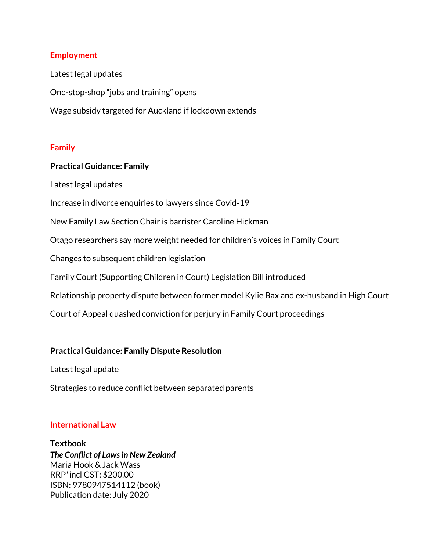### **Employment**

Latest legal updates One-stop-shop "jobs and training" opens Wage subsidy targeted for Auckland if lockdown extends

### **Family**

### **Practical Guidance: Family**

Latest legal updates

Increase in divorce enquiries to lawyers since Covid-19

New Family Law Section Chair is barrister Caroline Hickman

Otago researchers say more weight needed for children's voices in Family Court

Changes to subsequent children legislation

Family Court (Supporting Children in Court) Legislation Bill introduced

Relationship property dispute between former model Kylie Bax and ex-husband in High Court

Court of Appeal quashed conviction for perjury in Family Court proceedings

# **Practical Guidance: Family Dispute Resolution**

Latest legal update

Strategies to reduce conflict between separated parents

# **International Law**

**Textbook** *The Conflict of Laws in New Zealand* Maria Hook & Jack Wass RRP\*incl GST: \$200.00 ISBN: 9780947514112 (book) Publication date: July 2020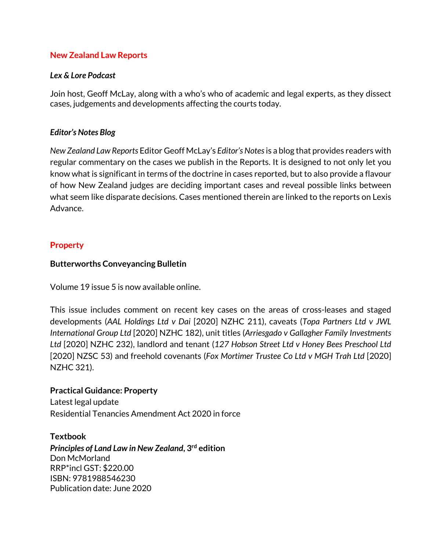### **New Zealand Law Reports**

### *Lex & Lore Podcast*

Join host, Geoff McLay, along with a who's who of academic and legal experts, as they dissect cases, judgements and developments affecting the courts today.

### *Editor's Notes Blog*

*New Zealand Law Reports* Editor Geoff McLay's *Editor's Notes*is a blog that provides readers with regular commentary on the cases we publish in the Reports. It is designed to not only let you know what is significant in terms of the doctrine in cases reported, but to also provide a flavour of how New Zealand judges are deciding important cases and reveal possible links between what seem like disparate decisions. Cases mentioned therein are linked to the reports on Lexis Advance.

### **Property**

### **Butterworths Conveyancing Bulletin**

Volume 19 issue 5 is now available online.

This issue includes comment on recent key cases on the areas of cross-leases and staged developments (*AAL Holdings Ltd v Dai* [2020] NZHC 211), caveats (*Topa Partners Ltd v JWL International Group Ltd* [2020] NZHC 182), unit titles (*Arriesgado v Gallagher Family Investments Ltd* [2020] NZHC 232), landlord and tenant (*127 Hobson Street Ltd v Honey Bees Preschool Ltd* [2020] NZSC 53) and freehold covenants (*Fox Mortimer Trustee Co Ltd v MGH Trah Ltd* [2020] NZHC 321).

# **Practical Guidance: Property**

Latest legal update Residential Tenancies Amendment Act 2020 in force

### **Textbook**

*Principles of Land Law in New Zealand***, 3rd edition** Don McMorland RRP\*incl GST: \$220.00 ISBN: 9781988546230 Publication date: June 2020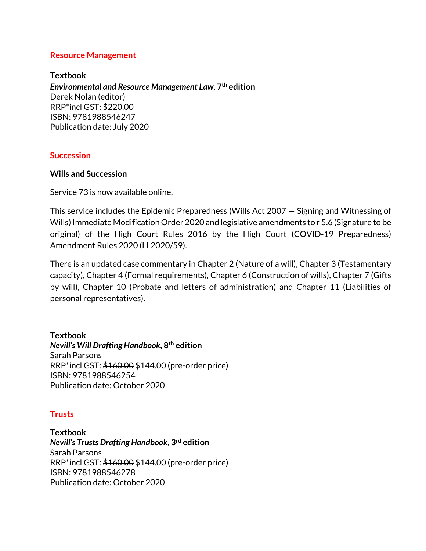### **Resource Management**

**Textbook** *Environmental and Resource Management Law,* **7th edition** Derek Nolan (editor) RRP\*incl GST: \$220.00 ISBN: 9781988546247 Publication date: July 2020

### **Succession**

### **Wills and Succession**

Service 73 is now available online.

This service includes the Epidemic Preparedness (Wills Act 2007 — Signing and Witnessing of Wills) Immediate Modification Order 2020 and legislative amendments to r 5.6 (Signature to be original) of the High Court Rules 2016 by the High Court (COVID-19 Preparedness) Amendment Rules 2020 (LI 2020/59).

There is an updated case commentary in Chapter 2 (Nature of a will), Chapter 3 (Testamentary capacity), Chapter 4 (Formal requirements), Chapter 6 (Construction of wills), Chapter 7 (Gifts by will), Chapter 10 (Probate and letters of administration) and Chapter 11 (Liabilities of personal representatives).

**Textbook** *Nevill's Will Drafting Handbook***, 8th edition** Sarah Parsons RRP\*incl GST: \$160.00 \$144.00 (pre-order price) ISBN: 9781988546254 Publication date: October 2020

# **Trusts**

**Textbook** *Nevill's Trusts Drafting Handbook***, 3rd edition** Sarah Parsons RRP\*incl GST: \$160.00 \$144.00 (pre-order price) ISBN: 9781988546278 Publication date: October 2020